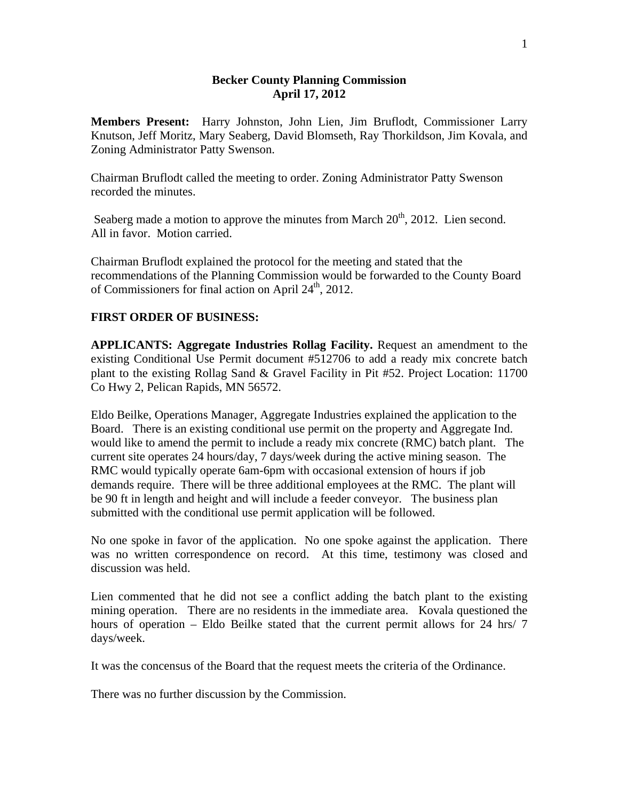## **Becker County Planning Commission April 17, 2012**

**Members Present:** Harry Johnston, John Lien, Jim Bruflodt, Commissioner Larry Knutson, Jeff Moritz, Mary Seaberg, David Blomseth, Ray Thorkildson, Jim Kovala, and Zoning Administrator Patty Swenson.

Chairman Bruflodt called the meeting to order. Zoning Administrator Patty Swenson recorded the minutes.

Seaberg made a motion to approve the minutes from March 20<sup>th</sup>, 2012. Lien second. All in favor. Motion carried.

Chairman Bruflodt explained the protocol for the meeting and stated that the recommendations of the Planning Commission would be forwarded to the County Board of Commissioners for final action on April 24<sup>th</sup>, 2012.

## **FIRST ORDER OF BUSINESS:**

**APPLICANTS: Aggregate Industries Rollag Facility.** Request an amendment to the existing Conditional Use Permit document #512706 to add a ready mix concrete batch plant to the existing Rollag Sand & Gravel Facility in Pit #52. Project Location: 11700 Co Hwy 2, Pelican Rapids, MN 56572.

Eldo Beilke, Operations Manager, Aggregate Industries explained the application to the Board. There is an existing conditional use permit on the property and Aggregate Ind. would like to amend the permit to include a ready mix concrete (RMC) batch plant. The current site operates 24 hours/day, 7 days/week during the active mining season. The RMC would typically operate 6am-6pm with occasional extension of hours if job demands require. There will be three additional employees at the RMC. The plant will be 90 ft in length and height and will include a feeder conveyor. The business plan submitted with the conditional use permit application will be followed.

No one spoke in favor of the application. No one spoke against the application. There was no written correspondence on record. At this time, testimony was closed and discussion was held.

Lien commented that he did not see a conflict adding the batch plant to the existing mining operation. There are no residents in the immediate area. Kovala questioned the hours of operation – Eldo Beilke stated that the current permit allows for 24 hrs/ 7 days/week.

It was the concensus of the Board that the request meets the criteria of the Ordinance.

There was no further discussion by the Commission.